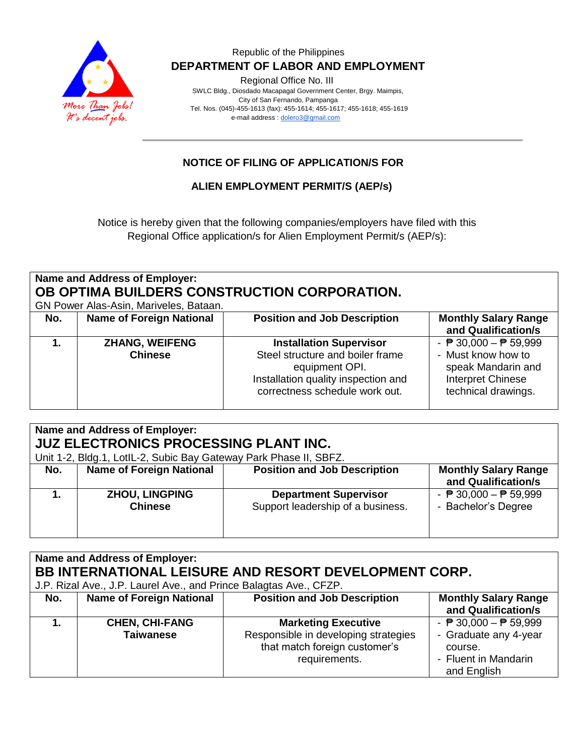

## Republic of the Philippines  **DEPARTMENT OF LABOR AND EMPLOYMENT**

Regional Office No. III

 SWLC Bldg., Diosdado Macapagal Government Center, Brgy. Maimpis, City of San Fernando, Pampanga Tel. Nos. (045)-455-1613 (fax): 455-1614; 455-1617; 455-1618; 455-1619 e-mail address [: dolero3@gmail.com](mailto:dolero3@gmail.com)

## **NOTICE OF FILING OF APPLICATION/S FOR**

**ALIEN EMPLOYMENT PERMIT/S (AEP/s)**

Notice is hereby given that the following companies/employers have filed with this Regional Office application/s for Alien Employment Permit/s (AEP/s):

| Name and Address of Employer:<br>OB OPTIMA BUILDERS CONSTRUCTION CORPORATION.<br>GN Power Alas-Asin, Mariveles, Bataan. |                                         |                                                                                                                                                               |                                                                                                                                         |  |  |
|-------------------------------------------------------------------------------------------------------------------------|-----------------------------------------|---------------------------------------------------------------------------------------------------------------------------------------------------------------|-----------------------------------------------------------------------------------------------------------------------------------------|--|--|
| No.                                                                                                                     | <b>Name of Foreign National</b>         | <b>Position and Job Description</b>                                                                                                                           | <b>Monthly Salary Range</b><br>and Qualification/s                                                                                      |  |  |
|                                                                                                                         | <b>ZHANG, WEIFENG</b><br><b>Chinese</b> | <b>Installation Supervisor</b><br>Steel structure and boiler frame<br>equipment OPI.<br>Installation quality inspection and<br>correctness schedule work out. | - $\overline{P}$ 30,000 - $\overline{P}$ 59,999<br>- Must know how to<br>speak Mandarin and<br>Interpret Chinese<br>technical drawings. |  |  |

| Name and Address of Employer:<br><b>JUZ ELECTRONICS PROCESSING PLANT INC.</b><br>Unit 1-2, Bldg.1, LotIL-2, Subic Bay Gateway Park Phase II, SBFZ. |                                         |                                                                   |                                                                        |  |  |  |
|----------------------------------------------------------------------------------------------------------------------------------------------------|-----------------------------------------|-------------------------------------------------------------------|------------------------------------------------------------------------|--|--|--|
| No.                                                                                                                                                | <b>Name of Foreign National</b>         | <b>Position and Job Description</b>                               | <b>Monthly Salary Range</b><br>and Qualification/s                     |  |  |  |
|                                                                                                                                                    | <b>ZHOU, LINGPING</b><br><b>Chinese</b> | <b>Department Supervisor</b><br>Support leadership of a business. | - $\overline{P}$ 30,000 - $\overline{P}$ 59,999<br>- Bachelor's Degree |  |  |  |

#### **Name and Address of Employer: BB INTERNATIONAL LEISURE AND RESORT DEVELOPMENT CORP.** J.P. Rizal Ave., J.P. Laurel Ave., and Prince Balagtas Ave., CFZP. **No.** | Name of Foreign National | Position and Job Description | Monthly Salary Range **and Qualification/s 1. CHEN, CHI-FANG Taiwanese Marketing Executive** Responsible in developing strategies that match foreign customer's requirements.  $\overline{P}$  30,000  $\overline{P}$  59,999 - Graduate any 4-year course. - Fluent in Mandarin and English